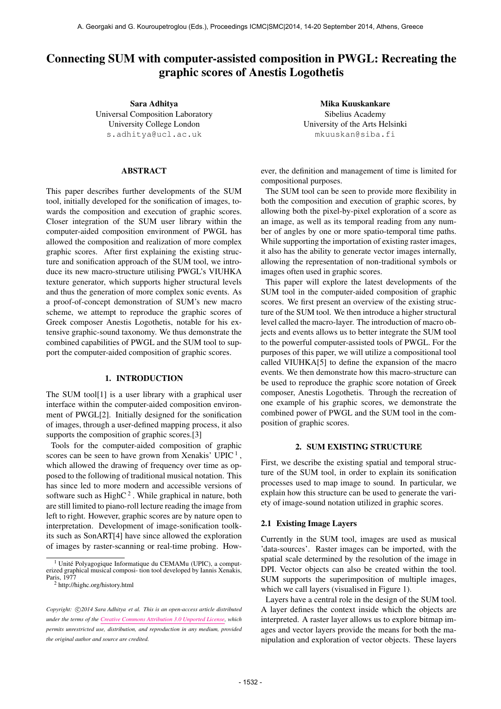# Connecting SUM with computer-assisted composition in PWGL: Recreating the graphic scores of Anestis Logothetis

Sara Adhitya Universal Composition Laboratory University College London [s.adhitya@ucl.ac.uk](mailto:s.adhitya@ucl.ac.uk)

# ABSTRACT

This paper describes further developments of the SUM tool, initially developed for the sonification of images, towards the composition and execution of graphic scores. Closer integration of the SUM user library within the computer-aided composition environment of PWGL has allowed the composition and realization of more complex graphic scores. After first explaining the existing structure and sonification approach of the SUM tool, we introduce its new macro-structure utilising PWGL's VIUHKA texture generator, which supports higher structural levels and thus the generation of more complex sonic events. As a proof-of-concept demonstration of SUM's new macro scheme, we attempt to reproduce the graphic scores of Greek composer Anestis Logothetis, notable for his extensive graphic-sound taxonomy. We thus demonstrate the combined capabilities of PWGL and the SUM tool to support the computer-aided composition of graphic scores.

## 1. INTRODUCTION

The SUM tool<sup>[1]</sup> is a user library with a graphical user interface within the computer-aided composition environment of PWGL[2]. Initially designed for the sonification of images, through a user-defined mapping process, it also supports the composition of graphic scores.[3]

Tools for the computer-aided composition of graphic scores can be seen to have grown from Xenakis' UPIC<sup>1</sup>, which allowed the drawing of frequency over time as opposed to the following of traditional musical notation. This has since led to more modern and accessible versions of software such as High $C<sup>2</sup>$ . While graphical in nature, both are still limited to piano-roll lecture reading the image from left to right. However, graphic scores are by nature open to interpretation. Development of image-sonification toolkits such as SonART[4] have since allowed the exploration of images by raster-scanning or real-time probing. How-

Mika Kuuskankare Sibelius Academy University of the Arts Helsinki [mkuuskan@siba.fi](mailto:mkuuskan@siba.fi)

ever, the definition and management of time is limited for compositional purposes.

The SUM tool can be seen to provide more flexibility in both the composition and execution of graphic scores, by allowing both the pixel-by-pixel exploration of a score as an image, as well as its temporal reading from any number of angles by one or more spatio-temporal time paths. While supporting the importation of existing raster images, it also has the ability to generate vector images internally, allowing the representation of non-traditional symbols or images often used in graphic scores.

This paper will explore the latest developments of the SUM tool in the computer-aided composition of graphic scores. We first present an overview of the existing structure of the SUM tool. We then introduce a higher structural level called the macro-layer. The introduction of macro objects and events allows us to better integrate the SUM tool to the powerful computer-assisted tools of PWGL. For the purposes of this paper, we will utilize a compositional tool called VIUHKA[5] to define the expansion of the macro events. We then demonstrate how this macro-structure can be used to reproduce the graphic score notation of Greek composer, Anestis Logothetis. Through the recreation of one example of his graphic scores, we demonstrate the combined power of PWGL and the SUM tool in the composition of graphic scores.

## 2. SUM EXISTING STRUCTURE

First, we describe the existing spatial and temporal structure of the SUM tool, in order to explain its sonification processes used to map image to sound. In particular, we explain how this structure can be used to generate the variety of image-sound notation utilized in graphic scores.

## 2.1 Existing Image Layers

Currently in the SUM tool, images are used as musical 'data-sources'. Raster images can be imported, with the spatial scale determined by the resolution of the image in DPI. Vector objects can also be created within the tool. SUM supports the superimposition of multiple images, which we call layers (visualised in Figure 1).

Layers have a central role in the design of the SUM tool. A layer defines the context inside which the objects are interpreted. A raster layer allows us to explore bitmap images and vector layers provide the means for both the manipulation and exploration of vector objects. These layers

<sup>&</sup>lt;sup>1</sup> Unité Polyagogique Informatique du CEMAMu (UPIC), a comput-<br>erized graphical musical composi- tion tool developed by Iannis Xenakis, Paris, 1977

<sup>2</sup> http://highc.org/history.html

Copyright:  $\bigcirc$ 2014 Sara Adhitya et al. This is an open-access article distributed *under the terms of the [Creative Commons Attribution 3.0 Unported License,](http://creativecommons.org/licenses/by/3.0/) which permits unrestricted use, distribution, and reproduction in any medium, provided the original author and source are credited.*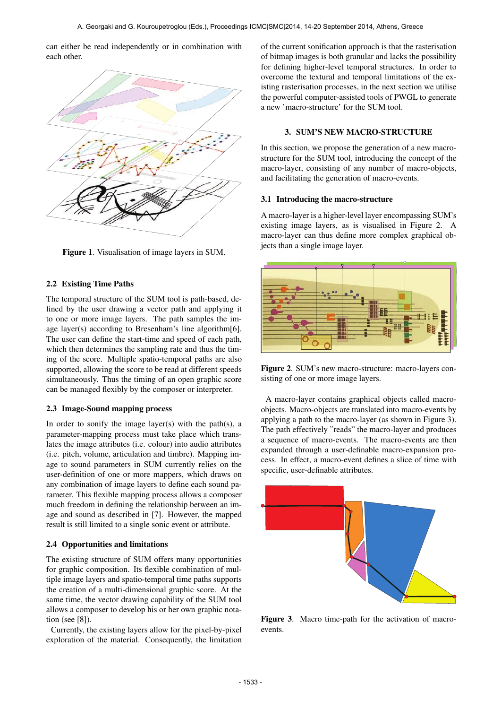can either be read independently or in combination with each other.



Figure 1. Visualisation of image layers in SUM.

## 2.2 Existing Time Paths

The temporal structure of the SUM tool is path-based, defined by the user drawing a vector path and applying it to one or more image layers. The path samples the image layer(s) according to Bresenham's line algorithm[6]. The user can define the start-time and speed of each path, which then determines the sampling rate and thus the timing of the score. Multiple spatio-temporal paths are also supported, allowing the score to be read at different speeds simultaneously. Thus the timing of an open graphic score can be managed flexibly by the composer or interpreter.

# 2.3 Image-Sound mapping process

In order to sonify the image layer(s) with the path(s), a parameter-mapping process must take place which translates the image attributes (i.e. colour) into audio attributes (i.e. pitch, volume, articulation and timbre). Mapping image to sound parameters in SUM currently relies on the user-definition of one or more mappers, which draws on any combination of image layers to define each sound parameter. This flexible mapping process allows a composer much freedom in defining the relationship between an image and sound as described in [7]. However, the mapped result is still limited to a single sonic event or attribute.

#### 2.4 Opportunities and limitations

The existing structure of SUM offers many opportunities for graphic composition. Its flexible combination of multiple image layers and spatio-temporal time paths supports the creation of a multi-dimensional graphic score. At the same time, the vector drawing capability of the SUM tool allows a composer to develop his or her own graphic notation (see [8]).

Currently, the existing layers allow for the pixel-by-pixel exploration of the material. Consequently, the limitation

of the current sonification approach is that the rasterisation of bitmap images is both granular and lacks the possibility for defining higher-level temporal structures. In order to overcome the textural and temporal limitations of the existing rasterisation processes, in the next section we utilise the powerful computer-assisted tools of PWGL to generate a new 'macro-structure' for the SUM tool.

## 3. SUM'S NEW MACRO-STRUCTURE

In this section, we propose the generation of a new macrostructure for the SUM tool, introducing the concept of the macro-layer, consisting of any number of macro-objects, and facilitating the generation of macro-events.

## 3.1 Introducing the macro-structure

A macro-layer is a higher-level layer encompassing SUM's existing image layers, as is visualised in Figure 2. A macro-layer can thus define more complex graphical objects than a single image layer.



Figure 2. SUM's new macro-structure: macro-layers consisting of one or more image layers.

A macro-layer contains graphical objects called macroobjects. Macro-objects are translated into macro-events by applying a path to the macro-layer (as shown in Figure 3). The path effectively "reads" the macro-layer and produces a sequence of macro-events. The macro-events are then expanded through a user-definable macro-expansion process. In effect, a macro-event defines a slice of time with specific, user-definable attributes.



Figure 3. Macro time-path for the activation of macroevents.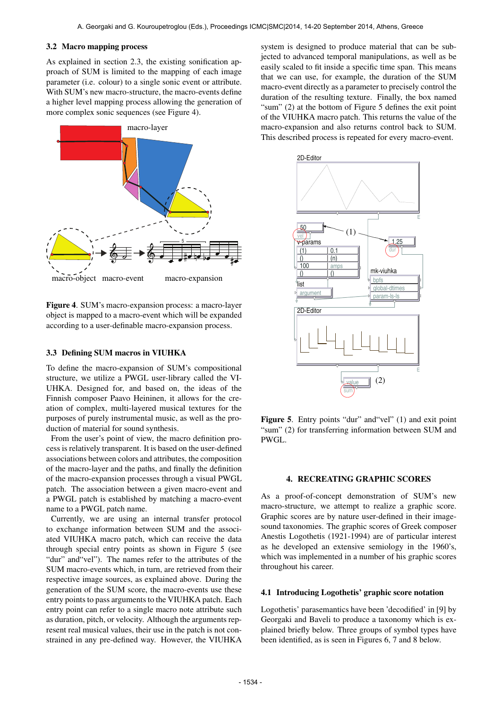## 3.2 Macro mapping process

As explained in section 2.3, the existing sonification approach of SUM is limited to the mapping of each image parameter (i.e. colour) to a single sonic event or attribute. With SUM's new macro-structure, the macro-events define a higher level mapping process allowing the generation of more complex sonic sequences (see Figure 4).



Figure 4. SUM's macro-expansion process: a macro-layer object is mapped to a macro-event which will be expanded according to a user-definable macro-expansion process.

## 3.3 Defining SUM macros in VIUHKA

To define the macro-expansion of SUM's compositional structure, we utilize a PWGL user-library called the VI-UHKA. Designed for, and based on, the ideas of the Finnish composer Paavo Heininen, it allows for the creation of complex, multi-layered musical textures for the purposes of purely instrumental music, as well as the production of material for sound synthesis.

From the user's point of view, the macro definition process is relatively transparent. It is based on the user-defined associations between colors and attributes, the composition of the macro-layer and the paths, and finally the definition of the macro-expansion processes through a visual PWGL patch. The association between a given macro-event and a PWGL patch is established by matching a macro-event name to a PWGL patch name.

Currently, we are using an internal transfer protocol to exchange information between SUM and the associated VIUHKA macro patch, which can receive the data through special entry points as shown in Figure 5 (see "dur" and"vel"). The names refer to the attributes of the SUM macro-events which, in turn, are retrieved from their respective image sources, as explained above. During the generation of the SUM score, the macro-events use these entry points to pass arguments to the VIUHKA patch. Each entry point can refer to a single macro note attribute such as duration, pitch, or velocity. Although the arguments represent real musical values, their use in the patch is not constrained in any pre-defined way. However, the VIUHKA system is designed to produce material that can be subjected to advanced temporal manipulations, as well as be easily scaled to fit inside a specific time span. This means that we can use, for example, the duration of the SUM macro-event directly as a parameter to precisely control the duration of the resulting texture. Finally, the box named "sum" (2) at the bottom of Figure 5 defines the exit point of the VIUHKA macro patch. This returns the value of the macro-expansion and also returns control back to SUM. This described process is repeated for every macro-event.



Figure 5. Entry points "dur" and "vel" (1) and exit point "sum" (2) for transferring information between SUM and PWGL.

## 4. RECREATING GRAPHIC SCORES

As a proof-of-concept demonstration of SUM's new macro-structure, we attempt to realize a graphic score. Graphic scores are by nature user-defined in their imagesound taxonomies. The graphic scores of Greek composer Anestis Logothetis (1921-1994) are of particular interest as he developed an extensive semiology in the 1960's, which was implemented in a number of his graphic scores throughout his career.

#### 4.1 Introducing Logothetis' graphic score notation

Logothetis' parasemantics have been 'decodified' in [9] by Georgaki and Baveli to produce a taxonomy which is explained briefly below. Three groups of symbol types have been identified, as is seen in Figures 6, 7 and 8 below.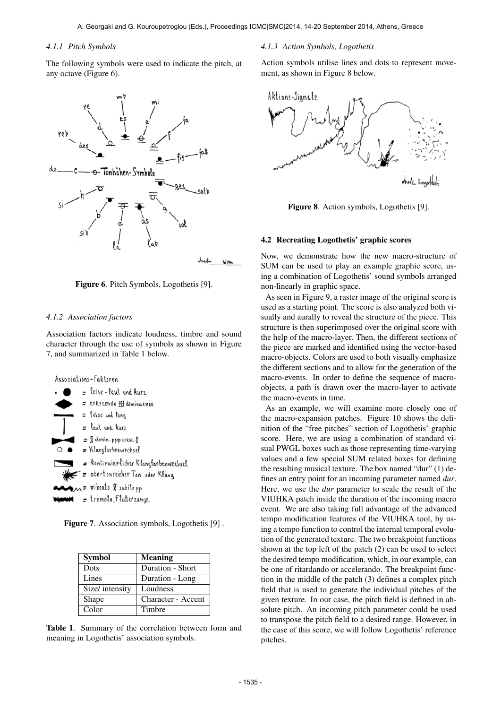# *4.1.1 Pitch Symbols*

The following symbols were used to indicate the pitch, at any octave (Figure 6).





## *4.1.2 Association factors*

Association factors indicate loudness, timbre and sound character through the use of symbols as shown in Figure 7, and summarized in Table 1 below.



Figure 7. Association symbols, Logothetis [9] .

| <b>Symbol</b>   | <b>Meaning</b>     |
|-----------------|--------------------|
| Dots            | Duration - Short   |
| Lines           | Duration - Long    |
| Size/ intensity | Loudness           |
| Shape           | Character - Accent |
| Color           | Timbre             |

Table 1. Summary of the correlation between form and meaning in Logothetis' association symbols.

#### *4.1.3 Action Symbols, Logothetis*

Action symbols utilise lines and dots to represent movement, as shown in Figure 8 below.



Figure 8. Action symbols, Logothetis [9].

#### 4.2 Recreating Logothetis' graphic scores

Now, we demonstrate how the new macro-structure of SUM can be used to play an example graphic score, using a combination of Logothetis' sound symbols arranged non-linearly in graphic space.

As seen in Figure 9, a raster image of the original score is used as a starting point. The score is also analyzed both visually and aurally to reveal the structure of the piece. This structure is then superimposed over the original score with the help of the macro-layer. Then, the different sections of the piece are marked and identified using the vector-based macro-objects. Colors are used to both visually emphasize the different sections and to allow for the generation of the macro-events. In order to define the sequence of macroobjects, a path is drawn over the macro-layer to activate the macro-events in time.

As an example, we will examine more closely one of the macro-expansion patches. Figure 10 shows the definition of the "free pitches" section of Logothetis' graphic score. Here, we are using a combination of standard visual PWGL boxes such as those representing time-varying values and a few special SUM related boxes for defining the resulting musical texture. The box named "dur" (1) defines an entry point for an incoming parameter named *dur*. Here, we use the *dur* parameter to scale the result of the VIUHKA patch inside the duration of the incoming macro event. We are also taking full advantage of the advanced tempo modification features of the VIUHKA tool, by using a tempo function to control the internal temporal evolution of the generated texture. The two breakpoint functions shown at the top left of the patch (2) can be used to select the desired tempo modification, which, in our example, can be one of ritardando or accelerando. The breakpoint function in the middle of the patch (3) defines a complex pitch field that is used to generate the individual pitches of the given texture. In our case, the pitch field is defined in absolute pitch. An incoming pitch parameter could be used to transpose the pitch field to a desired range. However, in the case of this score, we will follow Logothetis' reference pitches.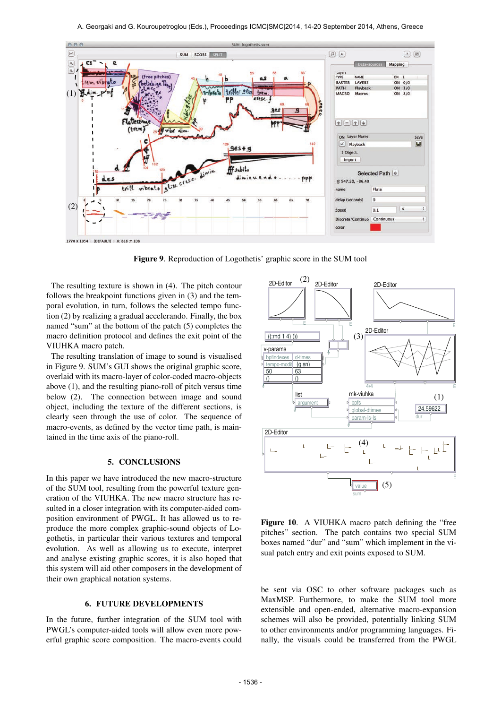

Figure 9. Reproduction of Logothetis' graphic score in the SUM tool

The resulting texture is shown in (4). The pitch contour follows the breakpoint functions given in (3) and the temporal evolution, in turn, follows the selected tempo function (2) by realizing a gradual accelerando. Finally, the box named "sum" at the bottom of the patch (5) completes the macro definition protocol and defines the exit point of the VIUHKA macro patch.

The resulting translation of image to sound is visualised in Figure 9. SUM's GUI shows the original graphic score, overlaid with its macro-layer of color-coded macro-objects above (1), and the resulting piano-roll of pitch versus time below (2). The connection between image and sound object, including the texture of the different sections, is clearly seen through the use of color. The sequence of macro-events, as defined by the vector time path, is maintained in the time axis of the piano-roll.

#### 5. CONCLUSIONS

In this paper we have introduced the new macro-structure of the SUM tool, resulting from the powerful texture generation of the VIUHKA. The new macro structure has resulted in a closer integration with its computer-aided composition environment of PWGL. It has allowed us to reproduce the more complex graphic-sound objects of Logothetis, in particular their various textures and temporal evolution. As well as allowing us to execute, interpret and analyse existing graphic scores, it is also hoped that this system will aid other composers in the development of their own graphical notation systems.

# 6. FUTURE DEVELOPMENTS

In the future, further integration of the SUM tool with PWGL's computer-aided tools will allow even more powerful graphic score composition. The macro-events could



Figure 10. A VIUHKA macro patch defining the "free pitches" section. The patch contains two special SUM boxes named "dur" and "sum" which implement in the visual patch entry and exit points exposed to SUM.

be sent via OSC to other software packages such as MaxMSP. Furthermore, to make the SUM tool more extensible and open-ended, alternative macro-expansion schemes will also be provided, potentially linking SUM to other environments and/or programming languages. Finally, the visuals could be transferred from the PWGL